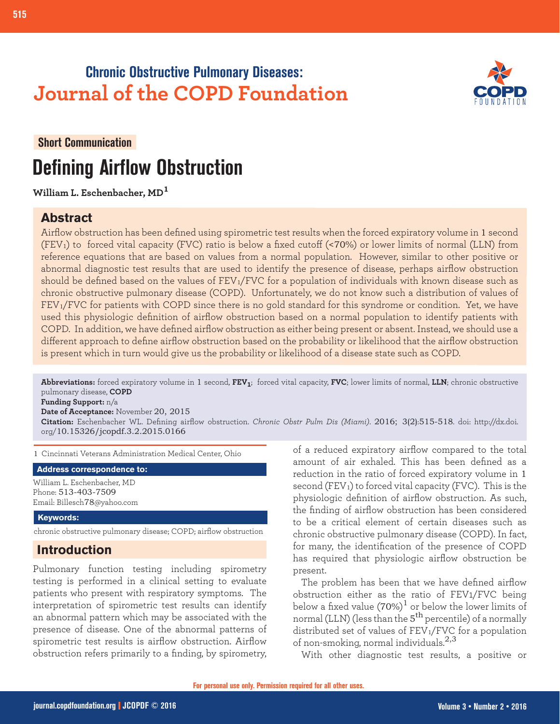## **Chronic Obstructive Pulmonary Diseases: Journal of the COPD Foundation**



#### **Short Communication**

**515 Defining Airflow Obstruction**

# **Defining Airflow Obstruction**

**William L. Eschenbacher, MD<sup>1</sup>**

#### **Abstract**

Airflow obstruction has been defined using spirometric test results when the forced expiratory volume in 1 second (FEV1) to forced vital capacity (FVC) ratio is below a fixed cutoff (<70%) or lower limits of normal (LLN) from reference equations that are based on values from a normal population. However, similar to other positive or abnormal diagnostic test results that are used to identify the presence of disease, perhaps airflow obstruction should be defined based on the values of  $FEV_1/FVC$  for a population of individuals with known disease such as chronic obstructive pulmonary disease (COPD). Unfortunately, we do not know such a distribution of values of FEV<sub>1</sub>/FVC for patients with COPD since there is no gold standard for this syndrome or condition. Yet, we have used this physiologic definition of airflow obstruction based on a normal population to identify patients with COPD. In addition, we have defined airflow obstruction as either being present or absent. Instead, we should use a different approach to define airflow obstruction based on the probability or likelihood that the airflow obstruction is present which in turn would give us the probability or likelihood of a disease state such as COPD.

**Abbreviations:** forced expiratory volume in 1 second, **FEV1**; forced vital capacity, **FVC**; lower limits of normal, **LLN**; chronic obstructive pulmonary disease, **COPD**

**Funding Support:** n/a **Date of Acceptance:** November 20, 2015

**Citation:** Eschenbacher WL. Defining airflow obstruction. *Chronic Obstr Pulm Dis (Miami)*. 2016; 3(2):515-518. doi: http://dx.doi. org/10.15326/jcopdf.3.2.2015.0166

1 Cincinnati Veterans Administration Medical Center, Ohio

**Address correspondence to:**

William L. Eschenbacher, MD Phone: 513-403-7509 Email: Billesch78@yahoo.com

#### **Keywords:**

chronic obstructive pulmonary disease; COPD; airflow obstruction

#### **Introduction**

Pulmonary function testing including spirometry testing is performed in a clinical setting to evaluate patients who present with respiratory symptoms. The interpretation of spirometric test results can identify an abnormal pattern which may be associated with the presence of disease. One of the abnormal patterns of spirometric test results is airflow obstruction. Airflow obstruction refers primarily to a finding, by spirometry,

of a reduced expiratory airflow compared to the total amount of air exhaled. This has been defined as a reduction in the ratio of forced expiratory volume in 1 second (FEV1) to forced vital capacity (FVC). This is the physiologic definition of airflow obstruction. As such, the finding of airflow obstruction has been considered to be a critical element of certain diseases such as chronic obstructive pulmonary disease (COPD). In fact, for many, the identification of the presence of COPD has required that physiologic airflow obstruction be present.

The problem has been that we have defined airflow obstruction either as the ratio of FEV1/FVC being below a fixed value (70%) $^1$  or below the lower limits of normal (LLN) (less than the  $5^{\text{th}}$  percentile) of a normally distributed set of values of FEV<sub>1</sub>/FVC for a population of non-smoking, normal individuals.2,3

With other diagnostic test results, a positive or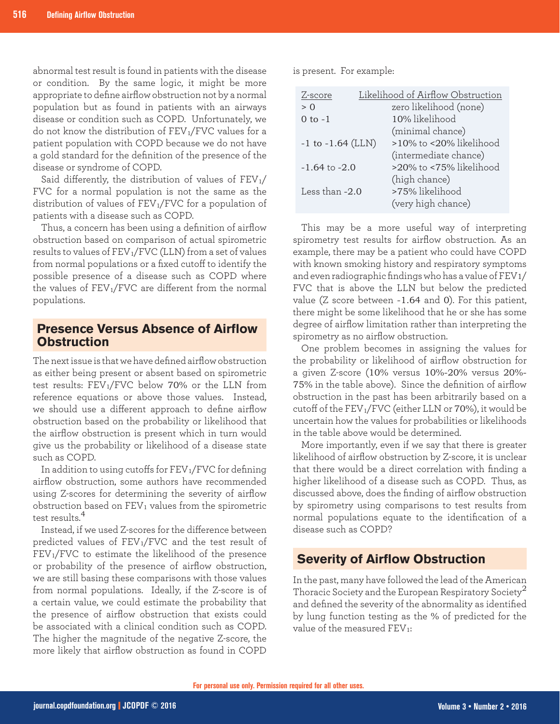abnormal test result is found in patients with the disease or condition. By the same logic, it might be more appropriate to define airflow obstruction not by a normal population but as found in patients with an airways disease or condition such as COPD. Unfortunately, we do not know the distribution of FEV<sub>1</sub>/FVC values for a patient population with COPD because we do not have a gold standard for the definition of the presence of the disease or syndrome of COPD.

Said differently, the distribution of values of  $FEV<sub>1</sub>/$ FVC for a normal population is not the same as the distribution of values of FEV1/FVC for a population of patients with a disease such as COPD.

Thus, a concern has been using a definition of airflow obstruction based on comparison of actual spirometric results to values of FEV<sub>1</sub>/FVC (LLN) from a set of values from normal populations or a fixed cutoff to identify the possible presence of a disease such as COPD where the values of  $FEV_1/FVC$  are different from the normal populations.

#### **Presence Versus Absence of Airflow Obstruction**

The next issue is that we have defined airflow obstruction as either being present or absent based on spirometric test results: FEV1/FVC below 70% or the LLN from reference equations or above those values. Instead, we should use a different approach to define airflow obstruction based on the probability or likelihood that the airflow obstruction is present which in turn would give us the probability or likelihood of a disease state such as COPD.

In addition to using cutoffs for  $FEV<sub>1</sub>/FVC$  for defining airflow obstruction, some authors have recommended using Z-scores for determining the severity of airflow obstruction based on FEV1 values from the spirometric test results.<sup>4</sup>

Instead, if we used Z-scores for the difference between predicted values of FEV1/FVC and the test result of FEV1/FVC to estimate the likelihood of the presence or probability of the presence of airflow obstruction, we are still basing these comparisons with those values from normal populations. Ideally, if the Z-score is of a certain value, we could estimate the probability that the presence of airflow obstruction that exists could be associated with a clinical condition such as COPD. The higher the magnitude of the negative Z-score, the more likely that airflow obstruction as found in COPD

is present. For example:

| Z-score               | Likelihood of Airflow Obstruction |  |
|-----------------------|-----------------------------------|--|
| > 0                   | zero likelihood (none)            |  |
| 0 to $-1$             | 10% likelihood                    |  |
|                       | (minimal chance)                  |  |
| $-1$ to $-1.64$ (LLN) | >10% to <20% likelihood           |  |
|                       | (intermediate chance)             |  |
| $-1.64$ to $-2.0$     | >20% to <75% likelihood           |  |
|                       | (high chance)                     |  |
| Less than $-2.0$      | >75% likelihood                   |  |
|                       | (very high chance)                |  |

This may be a more useful way of interpreting spirometry test results for airflow obstruction. As an example, there may be a patient who could have COPD with known smoking history and respiratory symptoms and even radiographic findings who has a value of FEV1/ FVC that is above the LLN but below the predicted value (Z score between -1.64 and 0). For this patient, there might be some likelihood that he or she has some degree of airflow limitation rather than interpreting the spirometry as no airflow obstruction.

One problem becomes in assigning the values for the probability or likelihood of airflow obstruction for a given Z-score (10% versus 10%-20% versus 20%- 75% in the table above). Since the definition of airflow obstruction in the past has been arbitrarily based on a cutoff of the FEV1/FVC (either LLN or 70%), it would be uncertain how the values for probabilities or likelihoods in the table above would be determined.

More importantly, even if we say that there is greater likelihood of airflow obstruction by Z-score, it is unclear that there would be a direct correlation with finding a higher likelihood of a disease such as COPD. Thus, as discussed above, does the finding of airflow obstruction by spirometry using comparisons to test results from normal populations equate to the identification of a disease such as COPD?

#### **Severity of Airflow Obstruction**

In the past, many have followed the lead of the American Thoracic Society and the European Respiratory Society<sup>2</sup> and defined the severity of the abnormality as identified by lung function testing as the % of predicted for the value of the measured FEV<sub>1</sub>: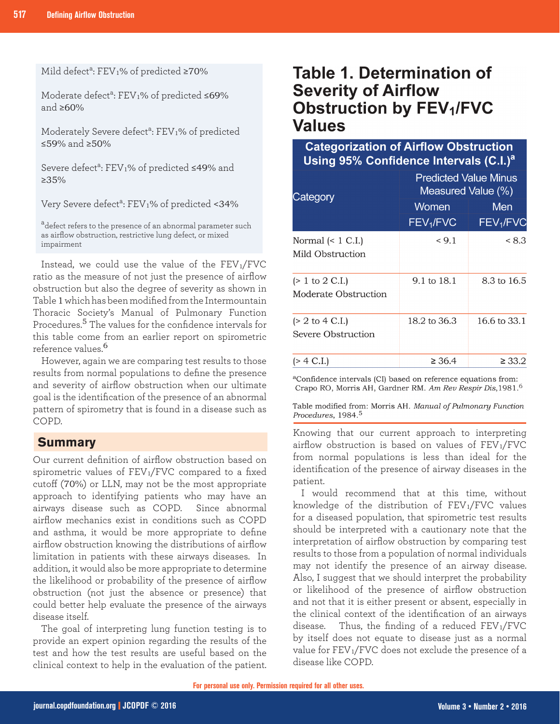Mild defect<sup>a</sup>: FEV<sub>1</sub>% of predicted ≥70%

Moderate defect<sup>a</sup>: FEV<sub>1</sub>% of predicted ≤69% and ≥60%

Moderately Severe defect<sup>a</sup>: FEV<sub>1</sub>% of predicted ≤59% and ≥50%

Severe defect<sup>a</sup>: FEV1% of predicted ≤49% and ≥35%

Very Severe defect<sup>a</sup>: FEV<sub>1</sub>% of predicted <34%

<sup>a</sup>defect refers to the presence of an abnormal parameter such as airflow obstruction, restrictive lung defect, or mixed impairment

Instead, we could use the value of the  $FEV_1/FVC$ ratio as the measure of not just the presence of airflow obstruction but also the degree of severity as shown in Table 1 which has been modified from the Intermountain Thoracic Society's Manual of Pulmonary Function Procedures.5 The values for the confidence intervals for this table come from an earlier report on spirometric reference values.<sup>6</sup>

 However, again we are comparing test results to those results from normal populations to define the presence and severity of airflow obstruction when our ultimate goal is the identification of the presence of an abnormal pattern of spirometry that is found in a disease such as COPD.

#### **Summary**

Our current definition of airflow obstruction based on spirometric values of  $FEV_1/FVC$  compared to a fixed cutoff (70%) or LLN, may not be the most appropriate approach to identifying patients who may have an airways disease such as COPD. Since abnormal airflow mechanics exist in conditions such as COPD and asthma, it would be more appropriate to define airflow obstruction knowing the distributions of airflow limitation in patients with these airways diseases. In addition, it would also be more appropriate to determine the likelihood or probability of the presence of airflow obstruction (not just the absence or presence) that could better help evaluate the presence of the airways disease itself.

The goal of interpreting lung function testing is to provide an expert opinion regarding the results of the test and how the test results are useful based on the clinical context to help in the evaluation of the patient.

### **Table 1. Determination of Severity of Airflow Obstruction by FEV1/FVC Values**

#### **Categorization of Airflow Obstruction** Using 95% Confidence Intervals (C.I.)<sup>a</sup>

| Category                                                   | <b>Predicted Value Minus</b><br>Measured Value (%) |                              |
|------------------------------------------------------------|----------------------------------------------------|------------------------------|
|                                                            | Women<br>FEV <sub>1</sub> /FVC                     | Men<br>FEV <sub>1</sub> /FVC |
| Normal $(< 1 C.I.)$<br>Mild Obstruction                    | < 9.1                                              | < 8.3                        |
| $(> 1 \text{ to } 2 \text{ C.I.})$<br>Moderate Obstruction | 9.1 to 18.1                                        | 8.3 to 16.5                  |
| $(> 2$ to 4 C.I.)<br>Severe Obstruction                    | 18.2 to 36.3                                       | 16.6 to 33.1                 |
| (> 4 C.I.)                                                 | $\geq 36.4$                                        | $\geq 33.2$                  |

<sup>a</sup>Confidence intervals (CI) based on reference equations from: Crapo RO, Morris AH, Gardner RM. Am Rev Respir Dis, 1981.<sup>6</sup>

Table modified from: Morris AH. Manual of Pulmonary Function Procedures, 1984.<sup>5</sup>

Knowing that our current approach to interpreting airflow obstruction is based on values of FEV1/FVC from normal populations is less than ideal for the identification of the presence of airway diseases in the patient.

I would recommend that at this time, without knowledge of the distribution of FEV1/FVC values for a diseased population, that spirometric test results should be interpreted with a cautionary note that the interpretation of airflow obstruction by comparing test results to those from a population of normal individuals may not identify the presence of an airway disease. Also, I suggest that we should interpret the probability or likelihood of the presence of airflow obstruction and not that it is either present or absent, especially in the clinical context of the identification of an airways disease. Thus, the finding of a reduced  $FEV<sub>1</sub>/FVC$ by itself does not equate to disease just as a normal value for FEV<sub>1</sub>/FVC does not exclude the presence of a disease like COPD.